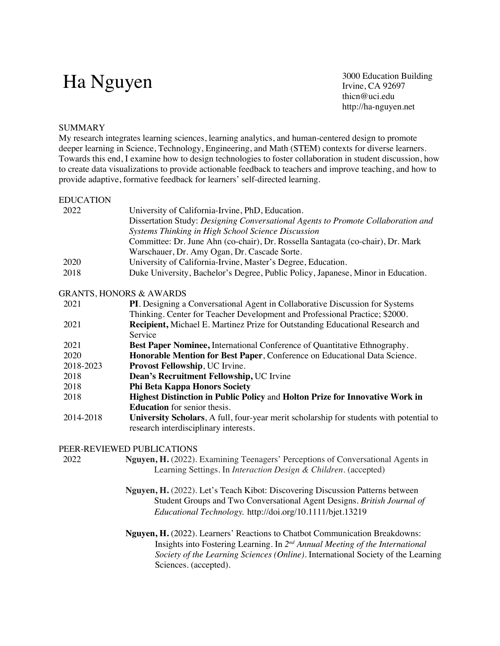# Ha Nguyen 3000 Education Building<br>Irvine, CA 92697

Irvine, CA 92697 thicn@uci.edu http://ha-nguyen.net

### **SUMMARY**

My research integrates learning sciences, learning analytics, and human-centered design to promote deeper learning in Science, Technology, Engineering, and Math (STEM) contexts for diverse learners. Towards this end, I examine how to design technologies to foster collaboration in student discussion, how to create data visualizations to provide actionable feedback to teachers and improve teaching, and how to provide adaptive, formative feedback for learners' self-directed learning.

#### EDUCATION

| 2022 | University of California-Irvine, PhD, Education.                                 |
|------|----------------------------------------------------------------------------------|
|      | Dissertation Study: Designing Conversational Agents to Promote Collaboration and |
|      | Systems Thinking in High School Science Discussion                               |
|      | Committee: Dr. June Ahn (co-chair), Dr. Rossella Santagata (co-chair), Dr. Mark  |
|      | Warschauer, Dr. Amy Ogan, Dr. Cascade Sorte.                                     |
| 2020 | University of California-Irvine, Master's Degree, Education.                     |
| 2018 | Duke University, Bachelor's Degree, Public Policy, Japanese, Minor in Education. |

### GRANTS, HONORS & AWARDS

| 2021      | PI. Designing a Conversational Agent in Collaborative Discussion for Systems            |
|-----------|-----------------------------------------------------------------------------------------|
|           | Thinking. Center for Teacher Development and Professional Practice; \$2000.             |
| 2021      | <b>Recipient, Michael E. Martinez Prize for Outstanding Educational Research and</b>    |
|           | Service                                                                                 |
| 2021      | <b>Best Paper Nominee, International Conference of Quantitative Ethnography.</b>        |
| 2020      | Honorable Mention for Best Paper, Conference on Educational Data Science.               |
| 2018-2023 | Provost Fellowship, UC Irvine.                                                          |
| 2018      | Dean's Recruitment Fellowship, UC Irvine                                                |
| 2018      | <b>Phi Beta Kappa Honors Society</b>                                                    |
| 2018      | Highest Distinction in Public Policy and Holton Prize for Innovative Work in            |
|           | <b>Education</b> for senior thesis.                                                     |
| 2014-2018 | University Scholars, A full, four-year merit scholarship for students with potential to |
|           | research interdisciplinary interests.                                                   |

### PEER-REVIEWED PUBLICATIONS

2022 **Nguyen, H.** (2022). Examining Teenagers' Perceptions of Conversational Agents in Learning Settings. In *Interaction Design & Children*. (accepted)

- **Nguyen, H.** (2022). Let's Teach Kibot: Discovering Discussion Patterns between Student Groups and Two Conversational Agent Designs. *British Journal of Educational Technology.* http://doi.org/10.1111/bjet.13219
- **Nguyen, H.** (2022). Learners' Reactions to Chatbot Communication Breakdowns: Insights into Fostering Learning. In *2nd Annual Meeting of the International Society of the Learning Sciences (Online)*. International Society of the Learning Sciences. (accepted).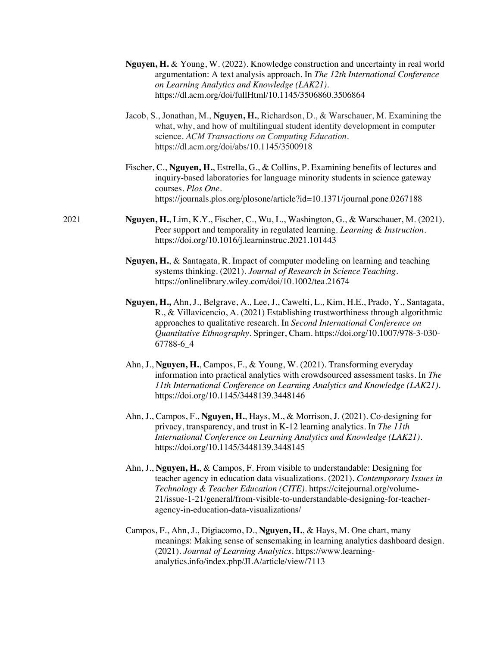| <b>Nguyen, H.</b> & Young, W. (2022). Knowledge construction and uncertainty in real world |
|--------------------------------------------------------------------------------------------|
| argumentation: A text analysis approach. In The 12th International Conference              |
| on Learning Analytics and Knowledge (LAK21).                                               |
| https://dl.acm.org/doi/fullHtml/10.1145/3506860.3506864                                    |

Jacob, S., Jonathan, M., **Nguyen, H.**, Richardson, D., & Warschauer, M. Examining the what, why, and how of multilingual student identity development in computer science. *ACM Transactions on Computing Education.* https://dl.acm.org/doi/abs/10.1145/3500918

Fischer, C., **Nguyen, H.**, Estrella, G., & Collins, P. Examining benefits of lectures and inquiry-based laboratories for language minority students in science gateway courses. *Plos One.* https://journals.plos.org/plosone/article?id=10.1371/journal.pone.0267188

2021 **Nguyen, H.**, Lim, K.Y., Fischer, C., Wu, L., Washington, G., & Warschauer, M. (2021). Peer support and temporality in regulated learning. *Learning & Instruction.*  https://doi.org/10.1016/j.learninstruc.2021.101443

> **Nguyen, H.**, & Santagata, R. Impact of computer modeling on learning and teaching systems thinking. (2021). *Journal of Research in Science Teaching*. https://onlinelibrary.wiley.com/doi/10.1002/tea.21674

**Nguyen, H.,** Ahn, J., Belgrave, A., Lee, J., Cawelti, L., Kim, H.E., Prado, Y., Santagata, R., & Villavicencio, A. (2021) Establishing trustworthiness through algorithmic approaches to qualitative research. In *Second International Conference on Quantitative Ethnography*. Springer, Cham. https://doi.org/10.1007/978-3-030- 67788-6\_4

Ahn, J., **Nguyen, H.**, Campos, F., & Young, W. (2021). Transforming everyday information into practical analytics with crowdsourced assessment tasks. In *The 11th International Conference on Learning Analytics and Knowledge (LAK21)*. https://doi.org/10.1145/3448139.3448146

- Ahn, J., Campos, F., **Nguyen, H.**, Hays, M., & Morrison, J. (2021). Co-designing for privacy, transparency, and trust in K-12 learning analytics. In *The 11th International Conference on Learning Analytics and Knowledge (LAK21)*. https://doi.org/10.1145/3448139.3448145
- Ahn, J., **Nguyen, H.**, & Campos, F. From visible to understandable: Designing for teacher agency in education data visualizations. (2021). *Contemporary Issues in Technology & Teacher Education (CITE)*. https://citejournal.org/volume-21/issue-1-21/general/from-visible-to-understandable-designing-for-teacheragency-in-education-data-visualizations/
- Campos, F., Ahn, J., Digiacomo, D., **Nguyen, H.**, & Hays, M. One chart, many meanings: Making sense of sensemaking in learning analytics dashboard design. (2021). *Journal of Learning Analytics*. https://www.learninganalytics.info/index.php/JLA/article/view/7113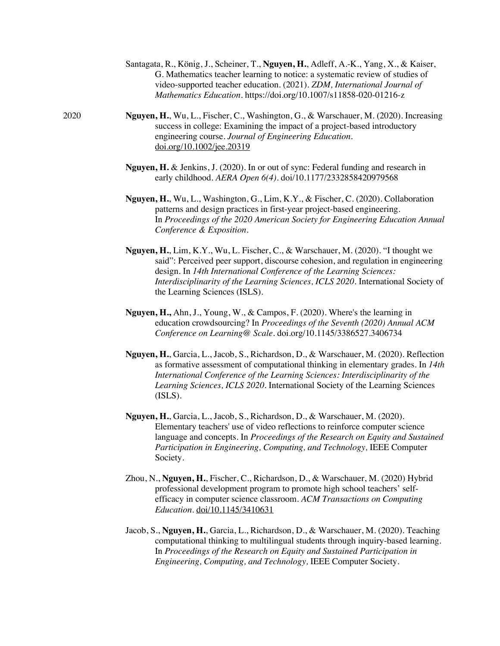- Santagata, R., König, J., Scheiner, T., **Nguyen, H.**, Adleff, A.-K., Yang, X., & Kaiser, G. Mathematics teacher learning to notice: a systematic review of studies of video-supported teacher education. (2021). *ZDM, International Journal of Mathematics Education*. https://doi.org/10.1007/s11858-020-01216-z
- 2020 **Nguyen, H.**, Wu, L., Fischer, C., Washington, G., & Warschauer, M. (2020). Increasing success in college: Examining the impact of a project-based introductory engineering course. *Journal of Engineering Education.*  doi.org/10.1002/jee.20319
	- **Nguyen, H.** & Jenkins, J. (2020). In or out of sync: Federal funding and research in early childhood. *AERA Open 6(4)*. doi/10.1177/2332858420979568
	- **Nguyen, H.**, Wu, L., Washington, G., Lim, K.Y., & Fischer, C. (2020). Collaboration patterns and design practices in first-year project-based engineering. In *Proceedings of the 2020 American Society for Engineering Education Annual Conference & Exposition.*
	- **Nguyen, H.**, Lim, K.Y., Wu, L. Fischer, C., & Warschauer, M. (2020). "I thought we said": Perceived peer support, discourse cohesion, and regulation in engineering design. In *14th International Conference of the Learning Sciences: Interdisciplinarity of the Learning Sciences, ICLS 2020.* International Society of the Learning Sciences (ISLS).
	- **Nguyen, H.,** Ahn, J., Young, W., & Campos, F. (2020). Where's the learning in education crowdsourcing? In *Proceedings of the Seventh (2020) Annual ACM Conference on Learning@ Scale*. doi.org/10.1145/3386527.3406734
	- **Nguyen, H.**, Garcia, L., Jacob, S., Richardson, D., & Warschauer, M. (2020). Reflection as formative assessment of computational thinking in elementary grades. In *14th International Conference of the Learning Sciences: Interdisciplinarity of the Learning Sciences, ICLS 2020.* International Society of the Learning Sciences (ISLS).
	- **Nguyen, H.**, Garcia, L., Jacob, S., Richardson, D., & Warschauer, M. (2020). Elementary teachers' use of video reflections to reinforce computer science language and concepts. In *Proceedings of the Research on Equity and Sustained Participation in Engineering, Computing, and Technology,* IEEE Computer Society.
	- Zhou, N., **Nguyen, H.**, Fischer, C., Richardson, D., & Warschauer, M. (2020) Hybrid professional development program to promote high school teachers' selfefficacy in computer science classroom. *ACM Transactions on Computing Education.* doi/10.1145/3410631
	- Jacob, S., **Nguyen, H.**, Garcia, L., Richardson, D., & Warschauer, M. (2020). Teaching computational thinking to multilingual students through inquiry-based learning. In *Proceedings of the Research on Equity and Sustained Participation in Engineering, Computing, and Technology,* IEEE Computer Society.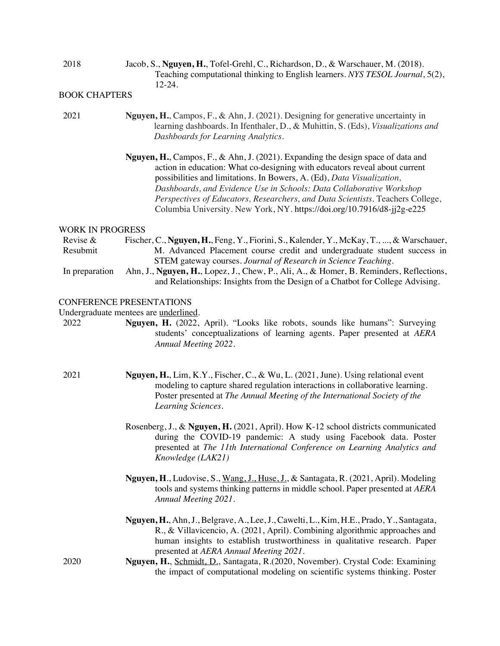2018 Jacob, S., **Nguyen, H.**, Tofel-Grehl, C., Richardson, D., & Warschauer, M. (2018). Teaching computational thinking to English learners. *NYS TESOL Journal*, 5(2), 12-24.

## BOOK CHAPTERS

- 2021 **Nguyen, H.**, Campos, F., & Ahn, J. (2021). Designing for generative uncertainty in learning dashboards. In Ifenthaler, D., & Muhittin, S. (Eds), *Visualizations and Dashboards for Learning Analytics*.
	- **Nguyen, H.**, Campos, F., & Ahn, J. (2021). Expanding the design space of data and action in education: What co-designing with educators reveal about current possibilities and limitations. In Bowers, A. (Ed), *Data Visualization, Dashboards, and Evidence Use in Schools: Data Collaborative Workshop Perspectives of Educators, Researchers, and Data Scientists*. Teachers College, Columbia University. New York, NY. https://doi.org/10.7916/d8-jj2g-e225

#### WORK IN PROGRESS

Revise & Resubmit Fischer, C., **Nguyen, H.**, Feng, Y., Fiorini, S., Kalender, Y., McKay, T., ..., & Warschauer, M. Advanced Placement course credit and undergraduate student success in STEM gateway courses. *Journal of Research in Science Teaching*.

In preparation Ahn, J., **Nguyen, H.**, Lopez, J., Chew, P., Ali, A., & Homer, B. Reminders, Reflections, and Relationships: Insights from the Design of a Chatbot for College Advising.

## CONFERENCE PRESENTATIONS

Undergraduate mentees are underlined.

2022 **Nguyen, H.** (2022, April). "Looks like robots, sounds like humans": Surveying students' conceptualizations of learning agents. Paper presented at *AERA Annual Meeting 2022*.

- 2021 **Nguyen, H.**, Lim, K.Y., Fischer, C., & Wu, L. (2021, June). Using relational event modeling to capture shared regulation interactions in collaborative learning. Poster presented at *The Annual Meeting of the International Society of the Learning Sciences*.
	- Rosenberg, J., & **Nguyen, H.** (2021, April). How K-12 school districts communicated during the COVID-19 pandemic: A study using Facebook data. Poster presented at *The 11th International Conference on Learning Analytics and Knowledge (LAK21)*
	- **Nguyen, H**., Ludovise, S., Wang, J., Huse, J., & Santagata, R. (2021, April). Modeling tools and systems thinking patterns in middle school. Paper presented at *AERA Annual Meeting 2021*.
	- **Nguyen, H.**, Ahn, J., Belgrave, A., Lee, J., Cawelti, L., Kim, H.E., Prado, Y., Santagata, R., & Villavicencio, A. (2021, April). Combining algorithmic approaches and human insights to establish trustworthiness in qualitative research. Paper presented at *AERA Annual Meeting 2021*.
- 2020 **Nguyen, H.**, Schmidt, D., Santagata, R.(2020, November). Crystal Code: Examining the impact of computational modeling on scientific systems thinking. Poster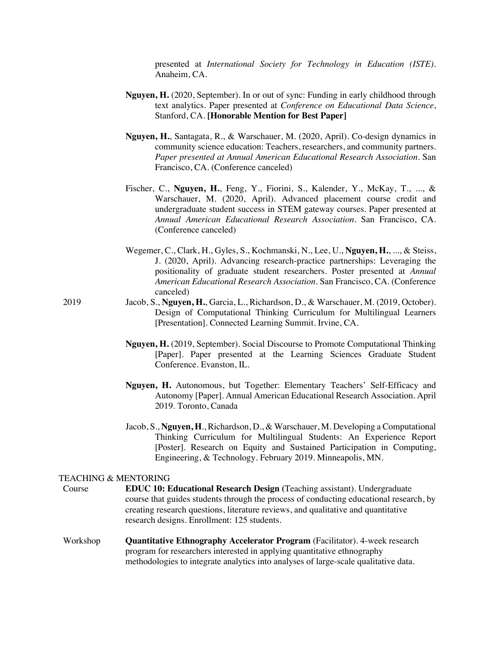presented at *International Society for Technology in Education (ISTE)*. Anaheim, CA.

- **Nguyen, H.** (2020, September). In or out of sync: Funding in early childhood through text analytics. Paper presented at *Conference on Educational Data Science*, Stanford, CA. **[Honorable Mention for Best Paper]**
- **Nguyen, H.**, Santagata, R., & Warschauer, M. (2020, April). Co-design dynamics in community science education: Teachers, researchers, and community partners. *Paper presented at Annual American Educational Research Association*. San Francisco, CA. (Conference canceled)
- Fischer, C., **Nguyen, H.**, Feng, Y., Fiorini, S., Kalender, Y., McKay, T., ..., & Warschauer, M. (2020, April). Advanced placement course credit and undergraduate student success in STEM gateway courses. Paper presented at *Annual American Educational Research Association*. San Francisco, CA. (Conference canceled)
- Wegemer, C., Clark, H., Gyles, S., Kochmanski, N., Lee, U., **Nguyen, H.**, ..., & Steiss, J. (2020, April). Advancing research-practice partnerships: Leveraging the positionality of graduate student researchers. Poster presented at *Annual American Educational Research Association*. San Francisco, CA. (Conference canceled)
- 2019 Jacob, S., **Nguyen, H.**, Garcia, L., Richardson, D., & Warschauer, M. (2019, October). Design of Computational Thinking Curriculum for Multilingual Learners [Presentation]. Connected Learning Summit. Irvine, CA.
	- **Nguyen, H.** (2019, September). Social Discourse to Promote Computational Thinking [Paper]. Paper presented at the Learning Sciences Graduate Student Conference. Evanston, IL.
	- **Nguyen, H.** Autonomous, but Together: Elementary Teachers' Self-Efficacy and Autonomy [Paper]. Annual American Educational Research Association. April 2019. Toronto, Canada
	- Jacob, S., **Nguyen, H**., Richardson, D., & Warschauer, M. Developing a Computational Thinking Curriculum for Multilingual Students: An Experience Report [Poster]. Research on Equity and Sustained Participation in Computing, Engineering, & Technology. February 2019. Minneapolis, MN.

#### TEACHING & MENTORING

- Course **EDUC 10: Educational Research Design (**Teaching assistant). Undergraduate course that guides students through the process of conducting educational research, by creating research questions, literature reviews, and qualitative and quantitative research designs. Enrollment: 125 students.
- Workshop **Quantitative Ethnography Accelerator Program** (Facilitator). 4-week research program for researchers interested in applying quantitative ethnography methodologies to integrate analytics into analyses of large-scale qualitative data.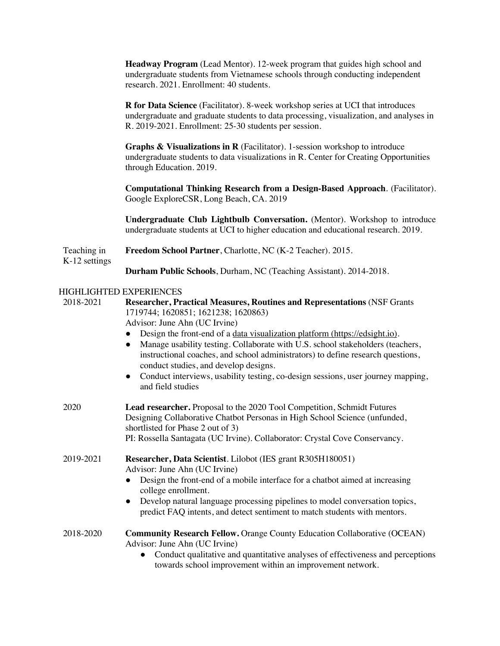**Headway Program** (Lead Mentor). 12-week program that guides high school and undergraduate students from Vietnamese schools through conducting independent research. 2021. Enrollment: 40 students.

**R for Data Science** (Facilitator). 8-week workshop series at UCI that introduces undergraduate and graduate students to data processing, visualization, and analyses in R. 2019-2021. Enrollment: 25-30 students per session.

**Graphs & Visualizations in R** (Facilitator). 1-session workshop to introduce undergraduate students to data visualizations in R. Center for Creating Opportunities through Education. 2019.

**Computational Thinking Research from a Design-Based Approach**. (Facilitator). Google ExploreCSR, Long Beach, CA. 2019

**Undergraduate Club Lightbulb Conversation.** (Mentor). Workshop to introduce undergraduate students at UCI to higher education and educational research. 2019.

#### Teaching in K-12 settings **Freedom School Partner**, Charlotte, NC (K-2 Teacher). 2015. **Durham Public Schools**, Durham, NC (Teaching Assistant). 2014-2018.

## HIGHLIGHTED EXPERIENCES

2018-2021 **Researcher, Practical Measures, Routines and Representations** (NSF Grants 1719744; 1620851; 1621238; 1620863) Advisor: June Ahn (UC Irvine) ● Design the front-end of a data visualization platform (https://edsight.io). Manage usability testing. Collaborate with U.S. school stakeholders (teachers, instructional coaches, and school administrators) to define research questions, conduct studies, and develop designs. • Conduct interviews, usability testing, co-design sessions, user journey mapping, and field studies 2020 **Lead researcher.** Proposal to the 2020 Tool Competition, Schmidt Futures Designing Collaborative Chatbot Personas in High School Science (unfunded, shortlisted for Phase 2 out of 3) PI: Rossella Santagata (UC Irvine). Collaborator: Crystal Cove Conservancy. 2019-2021 **Researcher, Data Scientist**. Lilobot (IES grant R305H180051) Advisor: June Ahn (UC Irvine) ● Design the front-end of a mobile interface for a chatbot aimed at increasing college enrollment. ● Develop natural language processing pipelines to model conversation topics, predict FAQ intents, and detect sentiment to match students with mentors. 2018-2020 **Community Research Fellow.** Orange County Education Collaborative (OCEAN) Advisor: June Ahn (UC Irvine) • Conduct qualitative and quantitative analyses of effectiveness and perceptions towards school improvement within an improvement network.